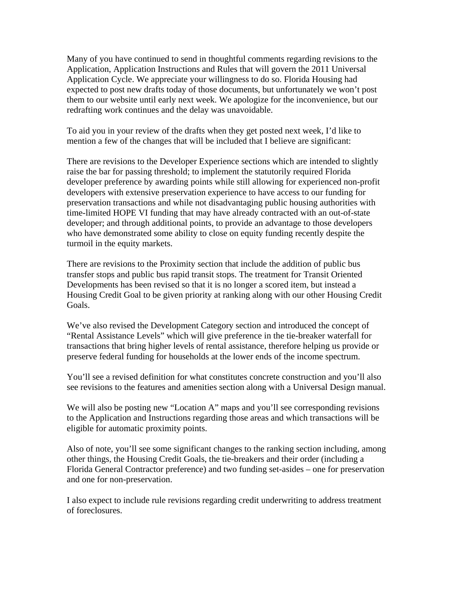Many of you have continued to send in thoughtful comments regarding revisions to the Application, Application Instructions and Rules that will govern the 2011 Universal Application Cycle. We appreciate your willingness to do so. Florida Housing had expected to post new drafts today of those documents, but unfortunately we won't post them to our website until early next week. We apologize for the inconvenience, but our redrafting work continues and the delay was unavoidable.

To aid you in your review of the drafts when they get posted next week, I'd like to mention a few of the changes that will be included that I believe are significant:

There are revisions to the Developer Experience sections which are intended to slightly raise the bar for passing threshold; to implement the statutorily required Florida developer preference by awarding points while still allowing for experienced non-profit developers with extensive preservation experience to have access to our funding for preservation transactions and while not disadvantaging public housing authorities with time-limited HOPE VI funding that may have already contracted with an out-of-state developer; and through additional points, to provide an advantage to those developers who have demonstrated some ability to close on equity funding recently despite the turmoil in the equity markets.

There are revisions to the Proximity section that include the addition of public bus transfer stops and public bus rapid transit stops. The treatment for Transit Oriented Developments has been revised so that it is no longer a scored item, but instead a Housing Credit Goal to be given priority at ranking along with our other Housing Credit Goals.

We've also revised the Development Category section and introduced the concept of "Rental Assistance Levels" which will give preference in the tie-breaker waterfall for transactions that bring higher levels of rental assistance, therefore helping us provide or preserve federal funding for households at the lower ends of the income spectrum.

You'll see a revised definition for what constitutes concrete construction and you'll also see revisions to the features and amenities section along with a Universal Design manual.

We will also be posting new "Location A" maps and you'll see corresponding revisions to the Application and Instructions regarding those areas and which transactions will be eligible for automatic proximity points.

Also of note, you'll see some significant changes to the ranking section including, among other things, the Housing Credit Goals, the tie-breakers and their order (including a Florida General Contractor preference) and two funding set-asides – one for preservation and one for non-preservation.

I also expect to include rule revisions regarding credit underwriting to address treatment of foreclosures.